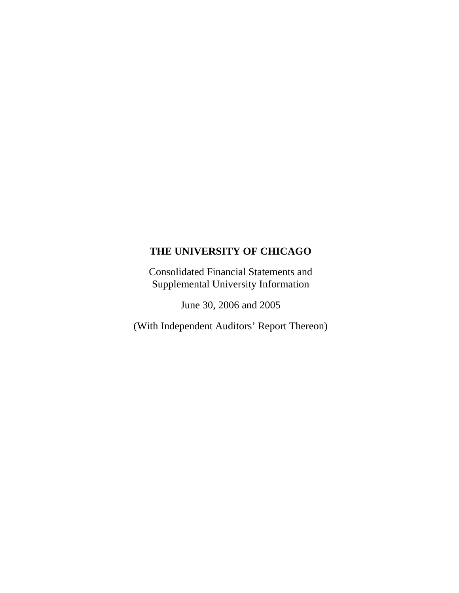Consolidated Financial Statements and Supplemental University Information

June 30, 2006 and 2005

(With Independent Auditors' Report Thereon)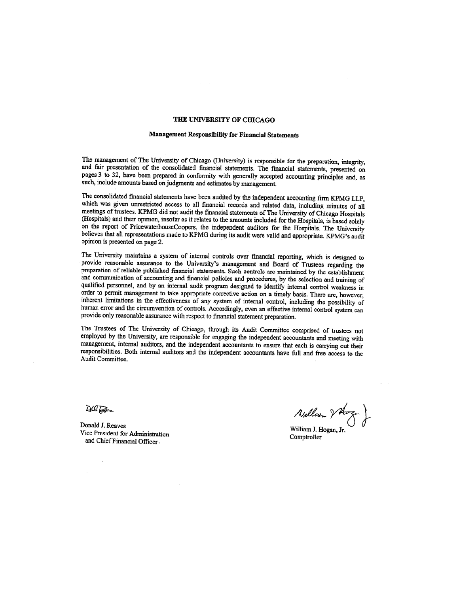#### **Management Responsibility for Financial Statements**

The management of The University of Chicago (University) is responsible for the preparation, integrity, and fair presentation of the consolidated financial statements. The financial statements, presented on pages 3 to 32, have been prepared in conformity with generally accepted accounting principles and, as such, include amounts based on judgments and estimates by management.

The consolidated financial statements have been audited by the independent accounting firm KPMG LLP, which was given unrestricted access to all financial records and related data, including minutes of all meetings of trustees. KPMG did not audit the financial statements of The University of Chicago Hospitals (Hospitals) and their opinion, insofar as it relates to the amounts included for the Hospitals, is based solely on the report of PricewaterhouseCoopers, the independent auditors for the Hospitals. The University believes that all representations made to KPMG during its audit were valid and appropriate. KPMG's audit opinion is presented on page 2.

The University maintains a system of internal controls over financial reporting, which is designed to provide reasonable assurance to the University's management and Board of Trustees regarding the preparation of reliable published financial statements. Such controls are maintained by the establishment and communication of accounting and financial policies and procedures, by the selection and training of qualified personnel, and by an internal audit program designed to identify internal control weakness in order to permit management to take appropriate corrective action on a timely basis. There are, however, inherent limitations in the effectiveness of any system of internal control, including the possibility of human error and the circumvention of controls. Accordingly, even an effective internal control system can provide only reasonable assurance with respect to financial statement preparation.

The Trustees of The University of Chicago, through its Audit Committee comprised of trustees not employed by the University, are responsible for engaging the independent accountants and meeting with management, internal auditors, and the independent accountants to ensure that each is carrying out their responsibilities. Both internal auditors and the independent accountants have full and free access to the Audit Committee.

We Be

William JA

Donald J. Reaves Vice President for Administration and Chief Financial Officer.

William J. Hogan, Jr Comptroller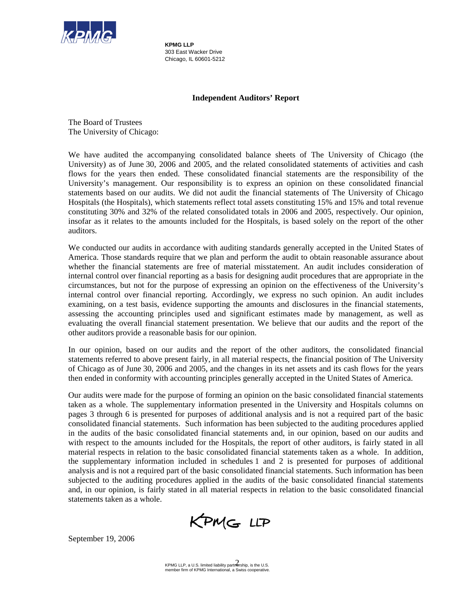

**KPMG LLP** 303 East Wacker Drive Chicago, IL 60601-5212

## **Independent Auditors' Report**

The Board of Trustees The University of Chicago:

We have audited the accompanying consolidated balance sheets of The University of Chicago (the University) as of June 30, 2006 and 2005, and the related consolidated statements of activities and cash flows for the years then ended. These consolidated financial statements are the responsibility of the University's management. Our responsibility is to express an opinion on these consolidated financial statements based on our audits. We did not audit the financial statements of The University of Chicago Hospitals (the Hospitals), which statements reflect total assets constituting 15% and 15% and total revenue constituting 30% and 32% of the related consolidated totals in 2006 and 2005, respectively. Our opinion, insofar as it relates to the amounts included for the Hospitals, is based solely on the report of the other auditors.

We conducted our audits in accordance with auditing standards generally accepted in the United States of America. Those standards require that we plan and perform the audit to obtain reasonable assurance about whether the financial statements are free of material misstatement. An audit includes consideration of internal control over financial reporting as a basis for designing audit procedures that are appropriate in the circumstances, but not for the purpose of expressing an opinion on the effectiveness of the University's internal control over financial reporting. Accordingly, we express no such opinion. An audit includes examining, on a test basis, evidence supporting the amounts and disclosures in the financial statements, assessing the accounting principles used and significant estimates made by management, as well as evaluating the overall financial statement presentation. We believe that our audits and the report of the other auditors provide a reasonable basis for our opinion.

In our opinion, based on our audits and the report of the other auditors, the consolidated financial statements referred to above present fairly, in all material respects, the financial position of The University of Chicago as of June 30, 2006 and 2005, and the changes in its net assets and its cash flows for the years then ended in conformity with accounting principles generally accepted in the United States of America.

Our audits were made for the purpose of forming an opinion on the basic consolidated financial statements taken as a whole. The supplementary information presented in the University and Hospitals columns on pages 3 through 6 is presented for purposes of additional analysis and is not a required part of the basic consolidated financial statements. Such information has been subjected to the auditing procedures applied in the audits of the basic consolidated financial statements and, in our opinion, based on our audits and with respect to the amounts included for the Hospitals, the report of other auditors, is fairly stated in all material respects in relation to the basic consolidated financial statements taken as a whole. In addition, the supplementary information included in schedules 1 and 2 is presented for purposes of additional analysis and is not a required part of the basic consolidated financial statements. Such information has been subjected to the auditing procedures applied in the audits of the basic consolidated financial statements and, in our opinion, is fairly stated in all material respects in relation to the basic consolidated financial statements taken as a whole.

KPMG LLP

September 19, 2006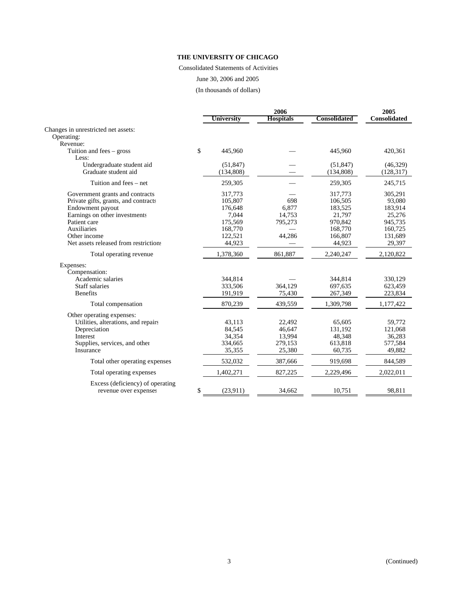#### Consolidated Statements of Activities

June 30, 2006 and 2005

(In thousands of dollars)

|                                       |               |                   | 2005             |                     |                     |
|---------------------------------------|---------------|-------------------|------------------|---------------------|---------------------|
|                                       |               | <b>University</b> | <b>Hospitals</b> | <b>Consolidated</b> | <b>Consolidated</b> |
| Changes in unrestricted net assets:   |               |                   |                  |                     |                     |
| Operating:                            |               |                   |                  |                     |                     |
| Revenue:                              |               |                   |                  |                     |                     |
| Tuition and fees $-$ gross            | $\mathcal{S}$ | 445,960           |                  | 445,960             | 420,361             |
| Less:                                 |               |                   |                  |                     |                     |
| Undergraduate student aid             |               | (51, 847)         |                  | (51, 847)           | (46,329)            |
| Graduate student aid                  |               | (134,808)         |                  | (134, 808)          | (128, 317)          |
| Tuition and fees – net                |               | 259,305           |                  | 259,305             | 245,715             |
| Government grants and contracts       |               | 317,773           |                  | 317,773             | 305,291             |
| Private gifts, grants, and contracts  |               | 105,807           | 698              | 106,505             | 93,080              |
| Endowment payout                      |               | 176,648           | 6,877            | 183,525             | 183,914             |
| Earnings on other investments         |               | 7,044             | 14,753           | 21,797              | 25,276              |
| Patient care                          |               | 175,569           | 795,273          | 970,842             | 945,735             |
| Auxiliaries                           |               | 168,770           |                  | 168,770             | 160,725             |
| Other income                          |               | 122,521           | 44,286           | 166,807             | 131,689             |
| Net assets released from restrictions |               | 44,923            |                  | 44,923              | 29,397              |
| Total operating revenue               |               | 1,378,360         | 861,887          | 2,240,247           | 2,120,822           |
| Expenses:                             |               |                   |                  |                     |                     |
| Compensation:                         |               |                   |                  |                     |                     |
| Academic salaries                     |               | 344,814           |                  | 344,814             | 330,129             |
| Staff salaries                        |               | 333,506           | 364,129          | 697,635             | 623,459             |
| <b>Benefits</b>                       |               | 191,919           | 75,430           | 267,349             | 223,834             |
| Total compensation                    |               | 870,239           | 439,559          | 1,309,798           | 1,177,422           |
| Other operating expenses:             |               |                   |                  |                     |                     |
| Utilities, alterations, and repairs   |               | 43.113            | 22,492           | 65.605              | 59,772              |
| Depreciation                          |               | 84,545            | 46,647           | 131,192             | 121,068             |
| Interest                              |               | 34,354            | 13,994           | 48,348              | 36,283              |
| Supplies, services, and other         |               | 334,665           | 279,153          | 613,818             | 577,584             |
| Insurance                             |               | 35,355            | 25,380           | 60,735              | 49,882              |
| Total other operating expenses        |               | 532,032           | 387,666          | 919,698             | 844,589             |
| Total operating expenses              |               | 1,402,271         | 827,225          | 2,229,496           | 2,022,011           |
| Excess (deficiency) of operating      |               |                   |                  |                     |                     |
| revenue over expenses                 | \$            | (23,911)          | 34,662           | 10,751              | 98,811              |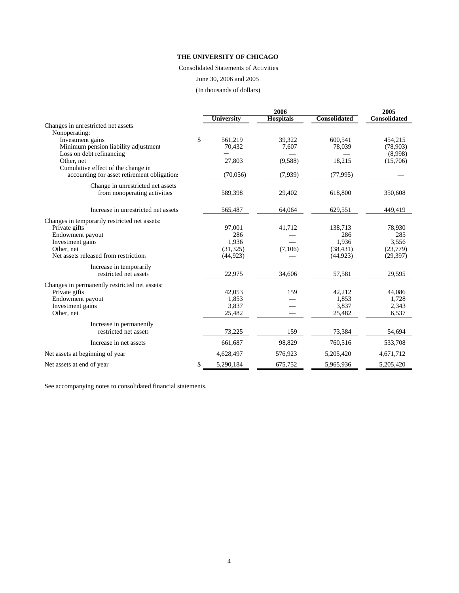#### Consolidated Statements of Activities

June 30, 2006 and 2005

(In thousands of dollars)

|                                                  |                   | 2006             |              | 2005                |  |
|--------------------------------------------------|-------------------|------------------|--------------|---------------------|--|
|                                                  | <b>University</b> | <b>Hospitals</b> | Consolidated | <b>Consolidated</b> |  |
| Changes in unrestricted net assets:              |                   |                  |              |                     |  |
| Nonoperating:                                    |                   |                  |              |                     |  |
| Investment gains                                 | \$<br>561,219     | 39,322           | 600,541      | 454,215             |  |
| Minimum pension liability adjustment             | 70,432            | 7,607            | 78,039       | (78,903)            |  |
| Loss on debt refinancing                         |                   |                  |              | (8,998)             |  |
| Other, net<br>Cumulative effect of the change in | 27,803            | (9,588)          | 18,215       | (15,706)            |  |
| accounting for asset retirement obligations      | (70,056)          | (7,939)          | (77, 995)    |                     |  |
|                                                  |                   |                  |              |                     |  |
| Change in unrestricted net assets                |                   |                  |              |                     |  |
| from nonoperating activities                     | 589,398           | 29,402           | 618,800      | 350,608             |  |
| Increase in unrestricted net assets              | 565,487           | 64,064           | 629,551      | 449,419             |  |
| Changes in temporarily restricted net assets:    |                   |                  |              |                     |  |
| Private gifts                                    | 97,001            | 41,712           | 138,713      | 78,930              |  |
| Endowment payout                                 | 286               |                  | 286          | 285                 |  |
| Investment gains                                 | 1,936             |                  | 1,936        | 3,556               |  |
| Other, net                                       | (31, 325)         | (7,106)          | (38, 431)    | (23,779)            |  |
| Net assets released from restrictions            | (44, 923)         |                  | (44, 923)    | (29, 397)           |  |
| Increase in temporarily                          |                   |                  |              |                     |  |
| restricted net assets                            | 22,975            | 34,606           | 57,581       | 29,595              |  |
| Changes in permanently restricted net assets:    |                   |                  |              |                     |  |
| Private gifts                                    | 42,053            | 159              | 42,212       | 44,086              |  |
| Endowment payout                                 | 1,853             |                  | 1,853        | 1,728               |  |
| Investment gains                                 | 3,837             |                  | 3,837        | 2,343               |  |
| Other, net                                       | 25,482            |                  | 25,482       | 6,537               |  |
| Increase in permanently                          |                   |                  |              |                     |  |
| restricted net assets                            | 73,225            | 159              | 73,384       | 54,694              |  |
| Increase in net assets                           | 661,687           | 98,829           | 760,516      | 533,708             |  |
| Net assets at beginning of year                  | 4,628,497         | 576,923          | 5,205,420    | 4,671,712           |  |
| Net assets at end of year                        | \$<br>5,290,184   | 675,752          | 5,965,936    | 5,205,420           |  |

See accompanying notes to consolidated financial statements.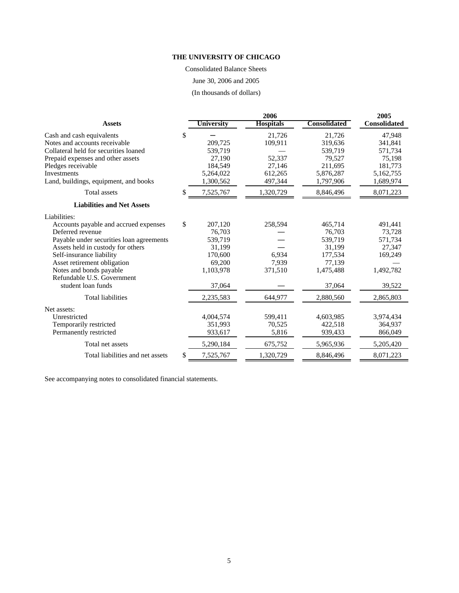Consolidated Balance Sheets

June 30, 2006 and 2005

(In thousands of dollars)

|                                          |                 | 2005             |              |                     |
|------------------------------------------|-----------------|------------------|--------------|---------------------|
| <b>Assets</b>                            | University      | <b>Hospitals</b> | Consolidated | <b>Consolidated</b> |
| Cash and cash equivalents                | \$              | 21,726           | 21,726       | 47,948              |
| Notes and accounts receivable            | 209,725         | 109,911          | 319.636      | 341,841             |
| Collateral held for securities loaned    | 539,719         |                  | 539,719      | 571,734             |
| Prepaid expenses and other assets        | 27,190          | 52,337           | 79,527       | 75,198              |
| Pledges receivable                       | 184.549         | 27.146           | 211,695      | 181,773             |
| Investments                              | 5,264,022       | 612,265          | 5,876,287    | 5,162,755           |
| Land, buildings, equipment, and books    | 1,300,562       | 497,344          | 1,797,906    | 1,689,974           |
| Total assets                             | \$<br>7,525,767 | 1,320,729        | 8,846,496    | 8,071,223           |
| <b>Liabilities and Net Assets</b>        |                 |                  |              |                     |
| Liabilities:                             |                 |                  |              |                     |
| Accounts payable and accrued expenses    | \$<br>207,120   | 258,594          | 465,714      | 491,441             |
| Deferred revenue                         | 76,703          |                  | 76,703       | 73,728              |
| Payable under securities loan agreements | 539.719         |                  | 539,719      | 571,734             |
| Assets held in custody for others        | 31,199          |                  | 31,199       | 27,347              |
| Self-insurance liability                 | 170,600         | 6,934            | 177,534      | 169,249             |
| Asset retirement obligation              | 69,200          | 7,939            | 77,139       |                     |
| Notes and bonds payable                  | 1,103,978       | 371,510          | 1,475,488    | 1,492,782           |
| Refundable U.S. Government               |                 |                  |              |                     |
| student loan funds                       | 37,064          |                  | 37,064       | 39,522              |
| <b>Total liabilities</b>                 | 2,235,583       | 644,977          | 2,880,560    | 2,865,803           |
| Net assets:                              |                 |                  |              |                     |
| Unrestricted                             | 4,004,574       | 599,411          | 4,603,985    | 3,974,434           |
| Temporarily restricted                   | 351,993         | 70,525           | 422,518      | 364,937             |
| Permanently restricted                   | 933,617         | 5,816            | 939,433      | 866,049             |
| Total net assets                         | 5,290,184       | 675,752          | 5,965,936    | 5,205,420           |
| Total liabilities and net assets         | \$<br>7,525,767 | 1,320,729        | 8,846,496    | 8,071,223           |

See accompanying notes to consolidated financial statements.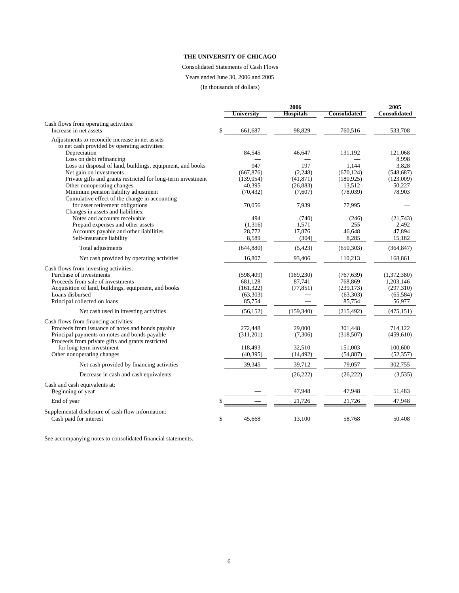#### Consolidated Statements of Cash Flows

Years ended June 30, 2006 and 2005

(In thousands of dollars)

|                                                              |               | 2005             |              |              |
|--------------------------------------------------------------|---------------|------------------|--------------|--------------|
|                                                              | University    | <b>Hospitals</b> | Consolidated | Consolidated |
| Cash flows from operating activities:                        |               |                  |              |              |
| Increase in net assets                                       | \$<br>661,687 | 98,829           | 760,516      | 533,708      |
| Adjustments to reconcile increase in net assets              |               |                  |              |              |
| to net cash provided by operating activities:                |               |                  |              |              |
| Depreciation                                                 | 84.545        | 46.647           | 131.192      | 121.068      |
| Loss on debt refinancing                                     |               |                  |              | 8,998        |
| Loss on disposal of land, buildings, equipment, and books    | 947           | 197              | 1.144        | 3,828        |
| Net gain on investments                                      | (667, 876)    | (2, 248)         | (670, 124)   | (548, 687)   |
| Private gifts and grants restricted for long-term investment | (139, 054)    | (41, 871)        | (180, 925)   | (123,009)    |
| Other nonoperating changes                                   | 40,395        | (26, 883)        | 13,512       | 50,227       |
| Minimum pension liability adjustment                         | (70, 432)     | (7,607)          | (78,039)     | 78,903       |
| Cumulative effect of the change in accounting                |               |                  |              |              |
| for asset retirement obligations                             | 70,056        | 7.939            | 77,995       |              |
| Changes in assets and liabilities:                           |               |                  |              |              |
| Notes and accounts receivable                                | 494           | (740)            | (246)        | (21,743)     |
| Prepaid expenses and other assets                            | (1,316)       | 1,571            | 255          | 2,492        |
| Accounts payable and other liabilities                       | 28,772        | 17,876           | 46,648       | 47,894       |
| Self-insurance liability                                     | 8,589         | (304)            | 8,285        | 15,182       |
| Total adjustments                                            | (644, 880)    | (5, 423)         | (650, 303)   | (364, 847)   |
| Net cash provided by operating activities                    | 16,807        | 93,406           | 110,213      | 168,861      |
| Cash flows from investing activities:                        |               |                  |              |              |
| Purchase of investments                                      | (598, 409)    | (169, 230)       | (767, 639)   | (1,372,380)  |
| Proceeds from sale of investments                            | 681,128       | 87,741           | 768,869      | 1,203,146    |
| Acquisition of land, buildings, equipment, and books         | (161, 322)    | (77, 851)        | (239, 173)   | (297,310)    |
| Loans disbursed                                              | (63,303)      |                  | (63, 303)    | (65, 584)    |
| Principal collected on loans                                 | 85,754        |                  | 85,754       | 56,977       |
| Net cash used in investing activities                        | (56, 152)     | (159, 340)       | (215, 492)   | (475, 151)   |
|                                                              |               |                  |              |              |
| Cash flows from financing activities:                        |               |                  |              |              |
| Proceeds from issuance of notes and bonds payable            | 272,448       | 29,000           | 301,448      | 714,122      |
| Principal payments on notes and bonds payable                | (311,201)     | (7,306)          | (318, 507)   | (459, 610)   |
| Proceeds from private gifts and grants restricted            |               |                  |              |              |
| for long-term investment                                     | 118,493       | 32,510           | 151,003      | 100,600      |
| Other nonoperating changes                                   | (40, 395)     | (14, 492)        | (54, 887)    | (52, 357)    |
| Net cash provided by financing activities                    | 39,345        | 39,712           | 79,057       | 302,755      |
| Decrease in cash and cash equivalents                        |               | (26, 222)        | (26, 222)    | (3,535)      |
| Cash and cash equivalents at:                                |               |                  |              |              |
| Beginning of year                                            |               | 47,948           | 47,948       | 51,483       |
| End of year                                                  | \$            | 21,726           | 21,726       | 47,948       |
| Supplemental disclosure of cash flow information:            |               |                  |              |              |
| Cash paid for interest                                       | \$<br>45,668  | 13,100           | 58,768       | 50,408       |
|                                                              |               |                  |              |              |

See accompanying notes to consolidated financial statements.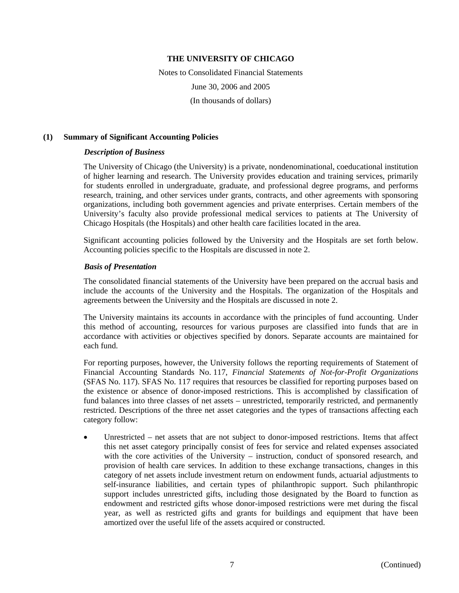Notes to Consolidated Financial Statements June 30, 2006 and 2005 (In thousands of dollars)

## **(1) Summary of Significant Accounting Policies**

## *Description of Business*

The University of Chicago (the University) is a private, nondenominational, coeducational institution of higher learning and research. The University provides education and training services, primarily for students enrolled in undergraduate, graduate, and professional degree programs, and performs research, training, and other services under grants, contracts, and other agreements with sponsoring organizations, including both government agencies and private enterprises. Certain members of the University's faculty also provide professional medical services to patients at The University of Chicago Hospitals (the Hospitals) and other health care facilities located in the area.

Significant accounting policies followed by the University and the Hospitals are set forth below. Accounting policies specific to the Hospitals are discussed in note 2.

## *Basis of Presentation*

The consolidated financial statements of the University have been prepared on the accrual basis and include the accounts of the University and the Hospitals. The organization of the Hospitals and agreements between the University and the Hospitals are discussed in note 2.

The University maintains its accounts in accordance with the principles of fund accounting. Under this method of accounting, resources for various purposes are classified into funds that are in accordance with activities or objectives specified by donors. Separate accounts are maintained for each fund.

For reporting purposes, however, the University follows the reporting requirements of Statement of Financial Accounting Standards No. 117, *Financial Statements of Not-for-Profit Organizations* (SFAS No. 117). SFAS No. 117 requires that resources be classified for reporting purposes based on the existence or absence of donor-imposed restrictions. This is accomplished by classification of fund balances into three classes of net assets – unrestricted, temporarily restricted, and permanently restricted. Descriptions of the three net asset categories and the types of transactions affecting each category follow:

• Unrestricted – net assets that are not subject to donor-imposed restrictions. Items that affect this net asset category principally consist of fees for service and related expenses associated with the core activities of the University – instruction, conduct of sponsored research, and provision of health care services. In addition to these exchange transactions, changes in this category of net assets include investment return on endowment funds, actuarial adjustments to self-insurance liabilities, and certain types of philanthropic support. Such philanthropic support includes unrestricted gifts, including those designated by the Board to function as endowment and restricted gifts whose donor-imposed restrictions were met during the fiscal year, as well as restricted gifts and grants for buildings and equipment that have been amortized over the useful life of the assets acquired or constructed.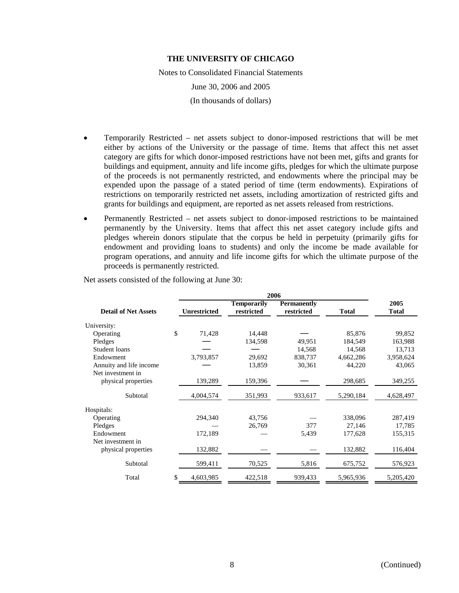Notes to Consolidated Financial Statements

June 30, 2006 and 2005

(In thousands of dollars)

- Temporarily Restricted net assets subject to donor-imposed restrictions that will be met either by actions of the University or the passage of time. Items that affect this net asset category are gifts for which donor-imposed restrictions have not been met, gifts and grants for buildings and equipment, annuity and life income gifts, pledges for which the ultimate purpose of the proceeds is not permanently restricted, and endowments where the principal may be expended upon the passage of a stated period of time (term endowments). Expirations of restrictions on temporarily restricted net assets, including amortization of restricted gifts and grants for buildings and equipment, are reported as net assets released from restrictions.
- Permanently Restricted net assets subject to donor-imposed restrictions to be maintained permanently by the University. Items that affect this net asset category include gifts and pledges wherein donors stipulate that the corpus be held in perpetuity (primarily gifts for endowment and providing loans to students) and only the income be made available for program operations, and annuity and life income gifts for which the ultimate purpose of the proceeds is permanently restricted.

|                             | 2006                |                                  |                                  |              |                      |  |  |  |  |  |
|-----------------------------|---------------------|----------------------------------|----------------------------------|--------------|----------------------|--|--|--|--|--|
| <b>Detail of Net Assets</b> | <b>Unrestricted</b> | <b>Temporarily</b><br>restricted | <b>Permanently</b><br>restricted | <b>Total</b> | 2005<br><b>Total</b> |  |  |  |  |  |
| University:                 |                     |                                  |                                  |              |                      |  |  |  |  |  |
| Operating                   | \$<br>71,428        | 14,448                           |                                  | 85,876       | 99,852               |  |  |  |  |  |
| Pledges                     |                     | 134,598                          | 49,951                           | 184,549      | 163,988              |  |  |  |  |  |
| Student loans               |                     |                                  | 14,568                           | 14,568       | 13,713               |  |  |  |  |  |
| Endowment                   | 3,793,857           | 29,692                           | 838,737                          | 4,662,286    | 3,958,624            |  |  |  |  |  |
| Annuity and life income     |                     | 13,859                           | 30,361                           | 44,220       | 43,065               |  |  |  |  |  |
| Net investment in           |                     |                                  |                                  |              |                      |  |  |  |  |  |
| physical properties         | 139,289             | 159,396                          |                                  | 298,685      | 349,255              |  |  |  |  |  |
| Subtotal                    | 4,004,574           | 351,993                          | 933,617                          | 5,290,184    | 4,628,497            |  |  |  |  |  |
| Hospitals:                  |                     |                                  |                                  |              |                      |  |  |  |  |  |
| Operating                   | 294,340             | 43,756                           |                                  | 338,096      | 287,419              |  |  |  |  |  |
| Pledges                     |                     | 26,769                           | 377                              | 27,146       | 17,785               |  |  |  |  |  |
| Endowment                   | 172,189             |                                  | 5,439                            | 177,628      | 155,315              |  |  |  |  |  |
| Net investment in           |                     |                                  |                                  |              |                      |  |  |  |  |  |
| physical properties         | 132,882             |                                  |                                  | 132,882      | 116,404              |  |  |  |  |  |
| Subtotal                    | 599,411             | 70,525                           | 5,816                            | 675,752      | 576,923              |  |  |  |  |  |
| Total                       | \$<br>4,603,985     | 422,518                          | 939,433                          | 5,965,936    | 5,205,420            |  |  |  |  |  |

Net assets consisted of the following at June 30: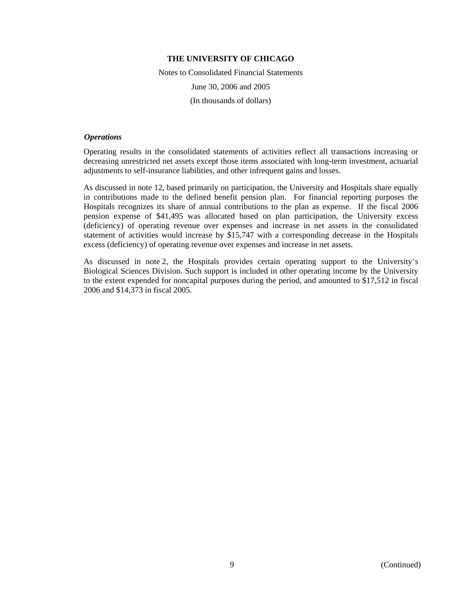Notes to Consolidated Financial Statements June 30, 2006 and 2005 (In thousands of dollars)

## *Operations*

Operating results in the consolidated statements of activities reflect all transactions increasing or decreasing unrestricted net assets except those items associated with long-term investment, actuarial adjustments to self-insurance liabilities, and other infrequent gains and losses.

As discussed in note 12, based primarily on participation, the University and Hospitals share equally in contributions made to the defined benefit pension plan. For financial reporting purposes the Hospitals recognizes its share of annual contributions to the plan as expense. If the fiscal 2006 pension expense of \$41,495 was allocated based on plan participation, the University excess (deficiency) of operating revenue over expenses and increase in net assets in the consolidated statement of activities would increase by \$15,747 with a corresponding decrease in the Hospitals excess (deficiency) of operating revenue over expenses and increase in net assets.

As discussed in note 2, the Hospitals provides certain operating support to the University's Biological Sciences Division. Such support is included in other operating income by the University to the extent expended for noncapital purposes during the period, and amounted to \$17,512 in fiscal 2006 and \$14,373 in fiscal 2005.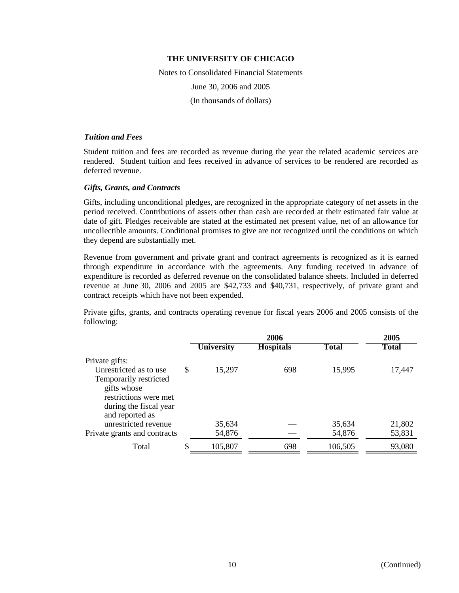Notes to Consolidated Financial Statements June 30, 2006 and 2005 (In thousands of dollars)

## *Tuition and Fees*

Student tuition and fees are recorded as revenue during the year the related academic services are rendered. Student tuition and fees received in advance of services to be rendered are recorded as deferred revenue.

#### *Gifts, Grants, and Contracts*

Gifts, including unconditional pledges, are recognized in the appropriate category of net assets in the period received. Contributions of assets other than cash are recorded at their estimated fair value at date of gift. Pledges receivable are stated at the estimated net present value, net of an allowance for uncollectible amounts. Conditional promises to give are not recognized until the conditions on which they depend are substantially met.

Revenue from government and private grant and contract agreements is recognized as it is earned through expenditure in accordance with the agreements. Any funding received in advance of expenditure is recorded as deferred revenue on the consolidated balance sheets. Included in deferred revenue at June 30, 2006 and 2005 are \$42,733 and \$40,731, respectively, of private grant and contract receipts which have not been expended.

Private gifts, grants, and contracts operating revenue for fiscal years 2006 and 2005 consists of the following:

|                              |                   | 2005             |              |              |  |
|------------------------------|-------------------|------------------|--------------|--------------|--|
|                              | <b>University</b> | <b>Hospitals</b> | <b>Total</b> | <b>Total</b> |  |
| Private gifts:               |                   |                  |              |              |  |
| Unrestricted as to use       | \$<br>15,297      | 698              | 15,995       | 17,447       |  |
| Temporarily restricted       |                   |                  |              |              |  |
| gifts whose                  |                   |                  |              |              |  |
| restrictions were met        |                   |                  |              |              |  |
| during the fiscal year       |                   |                  |              |              |  |
| and reported as              |                   |                  |              |              |  |
| unrestricted revenue         | 35,634            |                  | 35,634       | 21,802       |  |
| Private grants and contracts | 54,876            |                  | 54,876       | 53,831       |  |
| Total                        | 105,807           | 698              | 106,505      | 93,080       |  |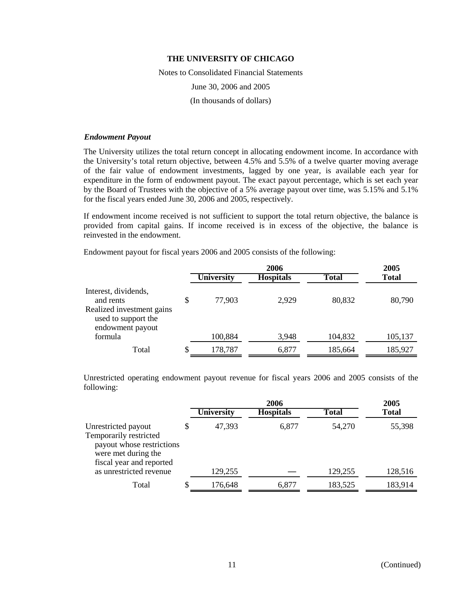Notes to Consolidated Financial Statements June 30, 2006 and 2005 (In thousands of dollars)

#### *Endowment Payout*

The University utilizes the total return concept in allocating endowment income. In accordance with the University's total return objective, between 4.5% and 5.5% of a twelve quarter moving average of the fair value of endowment investments, lagged by one year, is available each year for expenditure in the form of endowment payout. The exact payout percentage, which is set each year by the Board of Trustees with the objective of a 5% average payout over time, was 5.15% and 5.1% for the fiscal years ended June 30, 2006 and 2005, respectively.

If endowment income received is not sufficient to support the total return objective, the balance is provided from capital gains. If income received is in excess of the objective, the balance is reinvested in the endowment.

Endowment payout for fiscal years 2006 and 2005 consists of the following:

|                                                                                                           |    |         | 2005             |              |              |
|-----------------------------------------------------------------------------------------------------------|----|---------|------------------|--------------|--------------|
|                                                                                                           |    |         | <b>Hospitals</b> | <b>Total</b> | <b>Total</b> |
| Interest, dividends,<br>and rents<br>Realized investment gains<br>used to support the<br>endowment payout |    | 77,903  | 2,929            | 80,832       | 80,790       |
| formula                                                                                                   |    | 100,884 | 3,948            | 104,832      | 105,137      |
| Total                                                                                                     | \$ | 178,787 | 6,877            | 185,664      | 185,927      |

Unrestricted operating endowment payout revenue for fiscal years 2006 and 2005 consists of the following:

|                                                                              |   |                   | 2005             |              |              |
|------------------------------------------------------------------------------|---|-------------------|------------------|--------------|--------------|
|                                                                              |   | <b>University</b> | <b>Hospitals</b> | <b>Total</b> | <b>Total</b> |
| Unrestricted payout<br>Temporarily restricted                                |   | 47,393            | 6,877            | 54,270       | 55,398       |
| payout whose restrictions<br>were met during the<br>fiscal year and reported |   |                   |                  |              |              |
| as unrestricted revenue                                                      |   | 129,255           |                  | 129,255      | 128,516      |
| Total                                                                        | S | 176,648           | 6.877            | 183,525      | 183,914      |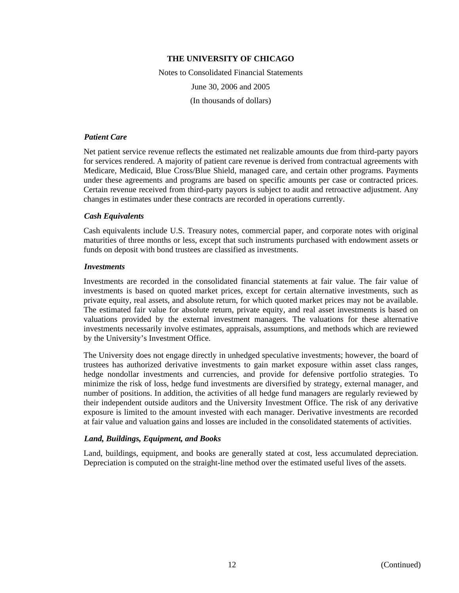Notes to Consolidated Financial Statements June 30, 2006 and 2005 (In thousands of dollars)

#### *Patient Care*

Net patient service revenue reflects the estimated net realizable amounts due from third-party payors for services rendered. A majority of patient care revenue is derived from contractual agreements with Medicare, Medicaid, Blue Cross/Blue Shield, managed care, and certain other programs. Payments under these agreements and programs are based on specific amounts per case or contracted prices. Certain revenue received from third-party payors is subject to audit and retroactive adjustment. Any changes in estimates under these contracts are recorded in operations currently.

## *Cash Equivalents*

Cash equivalents include U.S. Treasury notes, commercial paper, and corporate notes with original maturities of three months or less, except that such instruments purchased with endowment assets or funds on deposit with bond trustees are classified as investments.

## *Investments*

Investments are recorded in the consolidated financial statements at fair value. The fair value of investments is based on quoted market prices, except for certain alternative investments, such as private equity, real assets, and absolute return, for which quoted market prices may not be available. The estimated fair value for absolute return, private equity, and real asset investments is based on valuations provided by the external investment managers. The valuations for these alternative investments necessarily involve estimates, appraisals, assumptions, and methods which are reviewed by the University's Investment Office.

The University does not engage directly in unhedged speculative investments; however, the board of trustees has authorized derivative investments to gain market exposure within asset class ranges, hedge nondollar investments and currencies, and provide for defensive portfolio strategies. To minimize the risk of loss, hedge fund investments are diversified by strategy, external manager, and number of positions. In addition, the activities of all hedge fund managers are regularly reviewed by their independent outside auditors and the University Investment Office. The risk of any derivative exposure is limited to the amount invested with each manager. Derivative investments are recorded at fair value and valuation gains and losses are included in the consolidated statements of activities.

## *Land, Buildings, Equipment, and Books*

Land, buildings, equipment, and books are generally stated at cost, less accumulated depreciation. Depreciation is computed on the straight-line method over the estimated useful lives of the assets.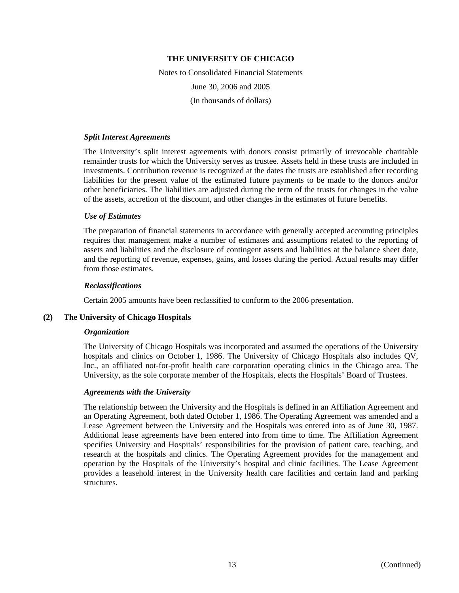Notes to Consolidated Financial Statements June 30, 2006 and 2005 (In thousands of dollars)

#### *Split Interest Agreements*

The University's split interest agreements with donors consist primarily of irrevocable charitable remainder trusts for which the University serves as trustee. Assets held in these trusts are included in investments. Contribution revenue is recognized at the dates the trusts are established after recording liabilities for the present value of the estimated future payments to be made to the donors and/or other beneficiaries. The liabilities are adjusted during the term of the trusts for changes in the value of the assets, accretion of the discount, and other changes in the estimates of future benefits.

#### *Use of Estimates*

The preparation of financial statements in accordance with generally accepted accounting principles requires that management make a number of estimates and assumptions related to the reporting of assets and liabilities and the disclosure of contingent assets and liabilities at the balance sheet date, and the reporting of revenue, expenses, gains, and losses during the period. Actual results may differ from those estimates.

#### *Reclassifications*

Certain 2005 amounts have been reclassified to conform to the 2006 presentation.

#### **(2) The University of Chicago Hospitals**

#### *Organization*

The University of Chicago Hospitals was incorporated and assumed the operations of the University hospitals and clinics on October 1, 1986. The University of Chicago Hospitals also includes QV, Inc., an affiliated not-for-profit health care corporation operating clinics in the Chicago area. The University, as the sole corporate member of the Hospitals, elects the Hospitals' Board of Trustees.

#### *Agreements with the University*

The relationship between the University and the Hospitals is defined in an Affiliation Agreement and an Operating Agreement, both dated October 1, 1986. The Operating Agreement was amended and a Lease Agreement between the University and the Hospitals was entered into as of June 30, 1987. Additional lease agreements have been entered into from time to time. The Affiliation Agreement specifies University and Hospitals' responsibilities for the provision of patient care, teaching, and research at the hospitals and clinics. The Operating Agreement provides for the management and operation by the Hospitals of the University's hospital and clinic facilities. The Lease Agreement provides a leasehold interest in the University health care facilities and certain land and parking structures.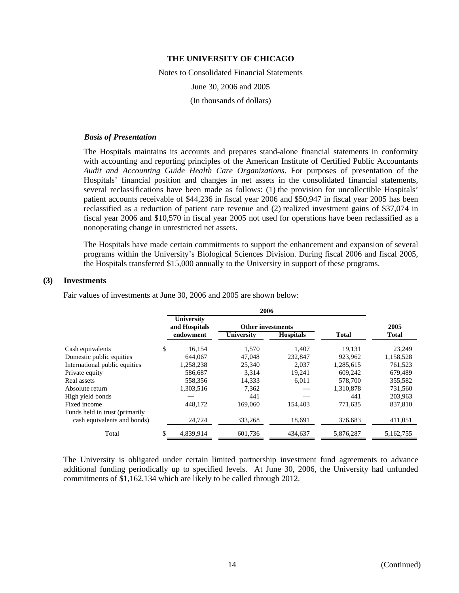Notes to Consolidated Financial Statements June 30, 2006 and 2005 (In thousands of dollars)

#### *Basis of Presentation*

The Hospitals maintains its accounts and prepares stand-alone financial statements in conformity with accounting and reporting principles of the American Institute of Certified Public Accountants *Audit and Accounting Guide Health Care Organizations*. For purposes of presentation of the Hospitals' financial position and changes in net assets in the consolidated financial statements, several reclassifications have been made as follows: (1) the provision for uncollectible Hospitals' patient accounts receivable of \$44,236 in fiscal year 2006 and \$50,947 in fiscal year 2005 has been reclassified as a reduction of patient care revenue and (2) realized investment gains of \$37,074 in fiscal year 2006 and \$10,570 in fiscal year 2005 not used for operations have been reclassified as a nonoperating change in unrestricted net assets.

The Hospitals have made certain commitments to support the enhancement and expansion of several programs within the University's Biological Sciences Division. During fiscal 2006 and fiscal 2005, the Hospitals transferred \$15,000 annually to the University in support of these programs.

#### **(3) Investments**

Fair values of investments at June 30, 2006 and 2005 are shown below:

|                                |    | University<br>and Hospitals | <b>Other investments</b> |                  | 2005         |              |
|--------------------------------|----|-----------------------------|--------------------------|------------------|--------------|--------------|
|                                |    | endowment                   | University               | <b>Hospitals</b> | <b>Total</b> | <b>Total</b> |
| Cash equivalents               | \$ | 16,154                      | 1,570                    | 1,407            | 19,131       | 23,249       |
| Domestic public equities       |    | 644.067                     | 47,048                   | 232,847          | 923,962      | 1,158,528    |
| International public equities  |    | 1,258,238                   | 25,340                   | 2.037            | 1.285.615    | 761.523      |
| Private equity                 |    | 586,687                     | 3.314                    | 19.241           | 609.242      | 679.489      |
| Real assets                    |    | 558,356                     | 14.333                   | 6.011            | 578,700      | 355.582      |
| Absolute return                |    | 1,303,516                   | 7,362                    |                  | 1,310,878    | 731,560      |
| High yield bonds               |    |                             | 441                      |                  | 441          | 203,963      |
| Fixed income                   |    | 448.172                     | 169,060                  | 154.403          | 771,635      | 837,810      |
| Funds held in trust (primarily |    |                             |                          |                  |              |              |
| cash equivalents and bonds)    |    | 24,724                      | 333,268                  | 18,691           | 376,683      | 411,051      |
| Total                          |    | 4,839,914                   | 601,736                  | 434,637          | 5,876,287    | 5,162,755    |

The University is obligated under certain limited partnership investment fund agreements to advance additional funding periodically up to specified levels. At June 30, 2006, the University had unfunded commitments of \$1,162,134 which are likely to be called through 2012.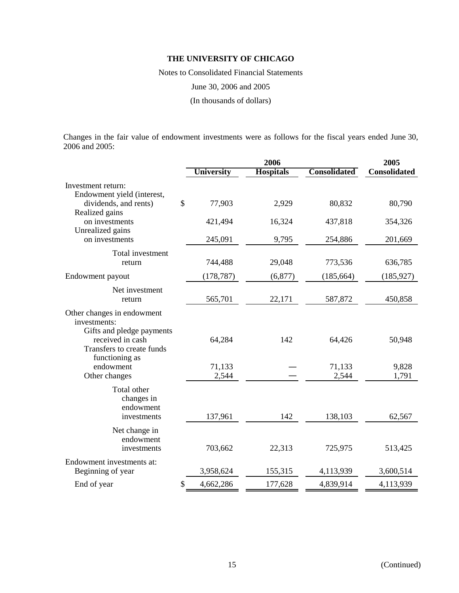Notes to Consolidated Financial Statements

June 30, 2006 and 2005

(In thousands of dollars)

Changes in the fair value of endowment investments were as follows for the fiscal years ended June 30, 2006 and 2005:

|                                                                                                                          |               |                   | 2006             |                     | 2005                |
|--------------------------------------------------------------------------------------------------------------------------|---------------|-------------------|------------------|---------------------|---------------------|
|                                                                                                                          |               | <b>University</b> | <b>Hospitals</b> | <b>Consolidated</b> | <b>Consolidated</b> |
| Investment return:                                                                                                       |               |                   |                  |                     |                     |
| Endowment yield (interest,<br>dividends, and rents)<br>Realized gains                                                    | $\mathcal{S}$ | 77,903            | 2,929            | 80,832              | 80,790              |
| on investments<br>Unrealized gains                                                                                       |               | 421,494           | 16,324           | 437,818             | 354,326             |
| on investments                                                                                                           |               | 245,091           | 9,795            | 254,886             | 201,669             |
| Total investment<br>return                                                                                               |               | 744,488           | 29,048           | 773,536             | 636,785             |
| Endowment payout                                                                                                         |               | (178, 787)        | (6, 877)         | (185, 664)          | (185, 927)          |
| Net investment<br>return                                                                                                 |               | 565,701           | 22,171           | 587,872             | 450,858             |
| Other changes in endowment<br>investments:<br>Gifts and pledge payments<br>received in cash<br>Transfers to create funds |               | 64,284            | 142              | 64,426              | 50,948              |
| functioning as<br>endowment<br>Other changes                                                                             |               | 71,133<br>2,544   |                  | 71,133<br>2,544     | 9,828<br>1,791      |
| Total other<br>changes in<br>endowment<br>investments                                                                    |               | 137,961           | 142              | 138,103             | 62,567              |
| Net change in<br>endowment<br>investments                                                                                |               | 703,662           | 22,313           | 725,975             | 513,425             |
| Endowment investments at:<br>Beginning of year                                                                           |               | 3,958,624         | 155,315          | 4,113,939           | 3,600,514           |
| End of year                                                                                                              | \$            | 4,662,286         | 177,628          | 4,839,914           | 4,113,939           |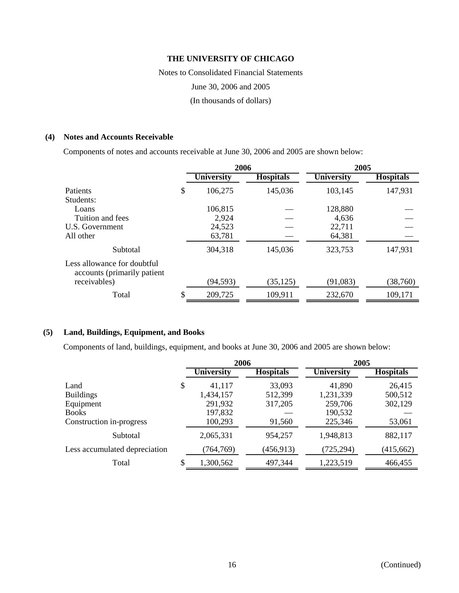Notes to Consolidated Financial Statements

June 30, 2006 and 2005

(In thousands of dollars)

## **(4) Notes and Accounts Receivable**

Components of notes and accounts receivable at June 30, 2006 and 2005 are shown below:

|                                                            | 2006              |                  | 2005              |                  |
|------------------------------------------------------------|-------------------|------------------|-------------------|------------------|
|                                                            | <b>University</b> | <b>Hospitals</b> | <b>University</b> | <b>Hospitals</b> |
| Patients                                                   | \$<br>106,275     | 145,036          | 103,145           | 147,931          |
| Students:                                                  |                   |                  |                   |                  |
| Loans                                                      | 106,815           |                  | 128,880           |                  |
| Tuition and fees                                           | 2,924             |                  | 4,636             |                  |
| U.S. Government                                            | 24,523            |                  | 22,711            |                  |
| All other                                                  | 63,781            |                  | 64,381            |                  |
| Subtotal                                                   | 304,318           | 145,036          | 323,753           | 147,931          |
| Less allowance for doubtful<br>accounts (primarily patient |                   |                  |                   |                  |
| receivables)                                               | (94, 593)         | (35, 125)        | (91,083)          | (38, 760)        |
| Total                                                      | 209,725           | 109,911          | 232,670           | 109,171          |

## **(5) Land, Buildings, Equipment, and Books**

Components of land, buildings, equipment, and books at June 30, 2006 and 2005 are shown below:

|                               | 2006              |                  | 2005              |                  |  |
|-------------------------------|-------------------|------------------|-------------------|------------------|--|
|                               | <b>University</b> | <b>Hospitals</b> | <b>University</b> | <b>Hospitals</b> |  |
| Land                          | \$<br>41,117      | 33,093           | 41,890            | 26,415           |  |
| <b>Buildings</b>              | 1,434,157         | 512,399          | 1,231,339         | 500,512          |  |
| Equipment                     | 291,932           | 317,205          | 259,706           | 302,129          |  |
| <b>Books</b>                  | 197,832           |                  | 190,532           |                  |  |
| Construction in-progress      | 100,293           | 91,560           | 225,346           | 53,061           |  |
| Subtotal                      | 2,065,331         | 954,257          | 1,948,813         | 882,117          |  |
| Less accumulated depreciation | (764, 769)        | (456, 913)       | (725, 294)        | (415, 662)       |  |
| Total                         | \$<br>1,300,562   | 497,344          | 1,223,519         | 466,455          |  |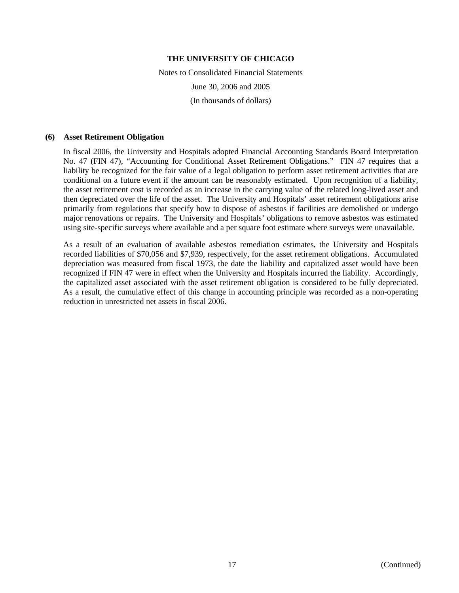Notes to Consolidated Financial Statements June 30, 2006 and 2005 (In thousands of dollars)

#### **(6) Asset Retirement Obligation**

In fiscal 2006, the University and Hospitals adopted Financial Accounting Standards Board Interpretation No. 47 (FIN 47), "Accounting for Conditional Asset Retirement Obligations." FIN 47 requires that a liability be recognized for the fair value of a legal obligation to perform asset retirement activities that are conditional on a future event if the amount can be reasonably estimated. Upon recognition of a liability, the asset retirement cost is recorded as an increase in the carrying value of the related long-lived asset and then depreciated over the life of the asset. The University and Hospitals' asset retirement obligations arise primarily from regulations that specify how to dispose of asbestos if facilities are demolished or undergo major renovations or repairs. The University and Hospitals' obligations to remove asbestos was estimated using site-specific surveys where available and a per square foot estimate where surveys were unavailable.

As a result of an evaluation of available asbestos remediation estimates, the University and Hospitals recorded liabilities of \$70,056 and \$7,939, respectively, for the asset retirement obligations. Accumulated depreciation was measured from fiscal 1973, the date the liability and capitalized asset would have been recognized if FIN 47 were in effect when the University and Hospitals incurred the liability. Accordingly, the capitalized asset associated with the asset retirement obligation is considered to be fully depreciated. As a result, the cumulative effect of this change in accounting principle was recorded as a non-operating reduction in unrestricted net assets in fiscal 2006.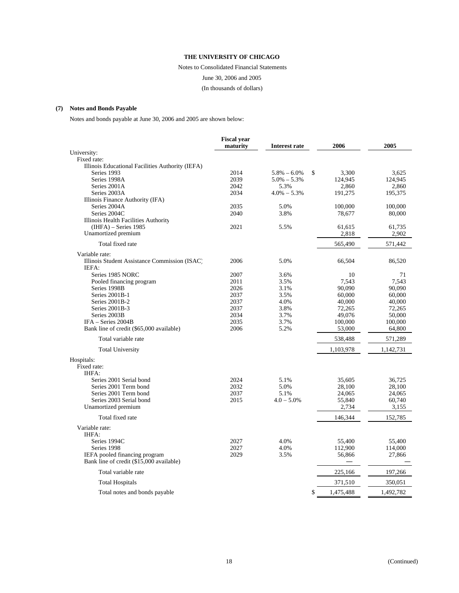Notes to Consolidated Financial Statements June 30, 2006 and 2005 (In thousands of dollars)

#### **(7) Notes and Bonds Payable**

Notes and bonds payable at June 30, 2006 and 2005 are shown below:

|                                                  | <b>Fiscal year</b> |                       |           |           |
|--------------------------------------------------|--------------------|-----------------------|-----------|-----------|
|                                                  | maturity           | <b>Interest rate</b>  | 2006      | 2005      |
| University:                                      |                    |                       |           |           |
| Fixed rate:                                      |                    |                       |           |           |
| Illinois Educational Facilities Authority (IEFA) |                    |                       |           |           |
| Series 1993                                      | 2014               | \$<br>$5.8\% - 6.0\%$ | 3,300     | 3,625     |
| Series 1998A                                     | 2039               | $5.0\% - 5.3\%$       | 124,945   | 124,945   |
| Series 2001A                                     | 2042               | 5.3%                  | 2,860     | 2,860     |
| Series 2003A                                     | 2034               | $4.0\% - 5.3\%$       | 191,275   | 195,375   |
| Illinois Finance Authority (IFA)                 |                    |                       |           |           |
| Series 2004A                                     | 2035               | 5.0%                  | 100,000   | 100,000   |
| Series 2004C                                     | 2040               | 3.8%                  | 78,677    | 80,000    |
| Illinois Health Facilities Authority             |                    |                       |           |           |
| $(IHFA)$ – Series 1985                           | 2021               | 5.5%                  | 61,615    | 61,735    |
| Unamortized premium                              |                    |                       | 2,818     | 2,902     |
| Total fixed rate                                 |                    |                       | 565,490   | 571,442   |
| Variable rate:                                   |                    |                       |           |           |
| Illinois Student Assistance Commission (ISAC)    | 2006               | 5.0%                  | 66,504    | 86.520    |
| IEFA:                                            |                    |                       |           |           |
| Series 1985 NORC                                 | 2007               | 3.6%                  | 10        | 71        |
| Pooled financing program                         | 2011               | 3.5%                  | 7.543     | 7.543     |
| Series 1998B                                     | 2026               | 3.1%                  | 90.090    | 90,090    |
| Series 2001B-1                                   | 2037               | 3.5%                  | 60,000    | 60,000    |
| Series 2001B-2                                   | 2037               | 4.0%                  | 40,000    | 40,000    |
| Series 2001B-3                                   | 2037               | 3.8%                  | 72,265    | 72,265    |
| Series 2003B                                     | 2034               | 3.7%                  | 49,076    | 50,000    |
| $IFA - Series 2004B$                             | 2035               | 3.7%                  | 100,000   | 100,000   |
| Bank line of credit (\$65,000 available)         | 2006               | 5.2%                  | 53,000    | 64,800    |
| Total variable rate                              |                    |                       | 538,488   | 571,289   |
| <b>Total University</b>                          |                    |                       | 1,103,978 | 1,142,731 |
| Hospitals:                                       |                    |                       |           |           |
| Fixed rate:                                      |                    |                       |           |           |
| IHFA:                                            |                    |                       |           |           |
| Series 2001 Serial bond                          | 2024               | 5.1%                  | 35.605    | 36,725    |
| Series 2001 Term bond                            | 2032               | 5.0%                  | 28,100    | 28,100    |
| Series 2001 Term bond                            | 2037               | 5.1%                  | 24,065    | 24,065    |
| Series 2003 Serial bond                          | 2015               | $4.0 - 5.0\%$         | 55,840    | 60,740    |
| Unamortized premium                              |                    |                       | 2,734     | 3,155     |
|                                                  |                    |                       |           |           |
| Total fixed rate                                 |                    |                       | 146,344   | 152,785   |
| Variable rate:                                   |                    |                       |           |           |
| IHFA:                                            |                    |                       |           |           |
| Series 1994C                                     | 2027               | 4.0%                  | 55,400    | 55,400    |
| Series 1998                                      | 2027               | 4.0%                  | 112,900   | 114,000   |
| IEFA pooled financing program                    | 2029               | 3.5%                  | 56,866    | 27,866    |
| Bank line of credit (\$15,000 available)         |                    |                       |           |           |
| Total variable rate                              |                    |                       | 225,166   | 197,266   |
| <b>Total Hospitals</b>                           |                    |                       | 371,510   | 350,051   |
| Total notes and bonds payable                    |                    | \$                    | 1,475,488 | 1,492,782 |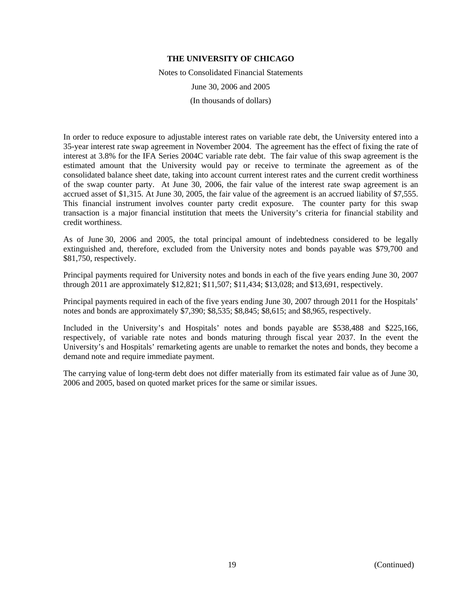Notes to Consolidated Financial Statements

June 30, 2006 and 2005

(In thousands of dollars)

In order to reduce exposure to adjustable interest rates on variable rate debt, the University entered into a 35-year interest rate swap agreement in November 2004. The agreement has the effect of fixing the rate of interest at 3.8% for the IFA Series 2004C variable rate debt. The fair value of this swap agreement is the estimated amount that the University would pay or receive to terminate the agreement as of the consolidated balance sheet date, taking into account current interest rates and the current credit worthiness of the swap counter party. At June 30, 2006, the fair value of the interest rate swap agreement is an accrued asset of \$1,315. At June 30, 2005, the fair value of the agreement is an accrued liability of \$7,555. This financial instrument involves counter party credit exposure. The counter party for this swap transaction is a major financial institution that meets the University's criteria for financial stability and credit worthiness.

As of June 30, 2006 and 2005, the total principal amount of indebtedness considered to be legally extinguished and, therefore, excluded from the University notes and bonds payable was \$79,700 and \$81,750, respectively.

Principal payments required for University notes and bonds in each of the five years ending June 30, 2007 through 2011 are approximately \$12,821; \$11,507; \$11,434; \$13,028; and \$13,691, respectively.

Principal payments required in each of the five years ending June 30, 2007 through 2011 for the Hospitals' notes and bonds are approximately \$7,390; \$8,535; \$8,845; \$8,615; and \$8,965, respectively.

Included in the University's and Hospitals' notes and bonds payable are \$538,488 and \$225,166, respectively, of variable rate notes and bonds maturing through fiscal year 2037. In the event the University's and Hospitals' remarketing agents are unable to remarket the notes and bonds, they become a demand note and require immediate payment.

The carrying value of long-term debt does not differ materially from its estimated fair value as of June 30, 2006 and 2005, based on quoted market prices for the same or similar issues.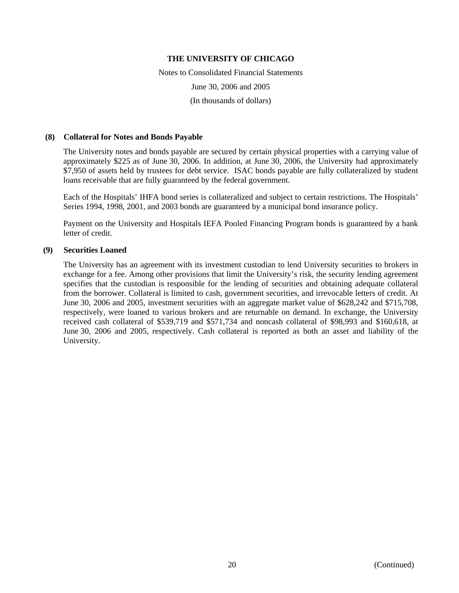Notes to Consolidated Financial Statements June 30, 2006 and 2005 (In thousands of dollars)

#### **(8) Collateral for Notes and Bonds Payable**

The University notes and bonds payable are secured by certain physical properties with a carrying value of approximately \$225 as of June 30, 2006. In addition, at June 30, 2006, the University had approximately \$7,950 of assets held by trustees for debt service. ISAC bonds payable are fully collateralized by student loans receivable that are fully guaranteed by the federal government.

Each of the Hospitals' IHFA bond series is collateralized and subject to certain restrictions. The Hospitals' Series 1994, 1998, 2001, and 2003 bonds are guaranteed by a municipal bond insurance policy.

Payment on the University and Hospitals IEFA Pooled Financing Program bonds is guaranteed by a bank letter of credit.

## **(9) Securities Loaned**

The University has an agreement with its investment custodian to lend University securities to brokers in exchange for a fee. Among other provisions that limit the University's risk, the security lending agreement specifies that the custodian is responsible for the lending of securities and obtaining adequate collateral from the borrower. Collateral is limited to cash, government securities, and irrevocable letters of credit. At June 30, 2006 and 2005, investment securities with an aggregate market value of \$628,242 and \$715,708, respectively, were loaned to various brokers and are returnable on demand. In exchange, the University received cash collateral of \$539,719 and \$571,734 and noncash collateral of \$98,993 and \$160,618, at June 30, 2006 and 2005, respectively. Cash collateral is reported as both an asset and liability of the University.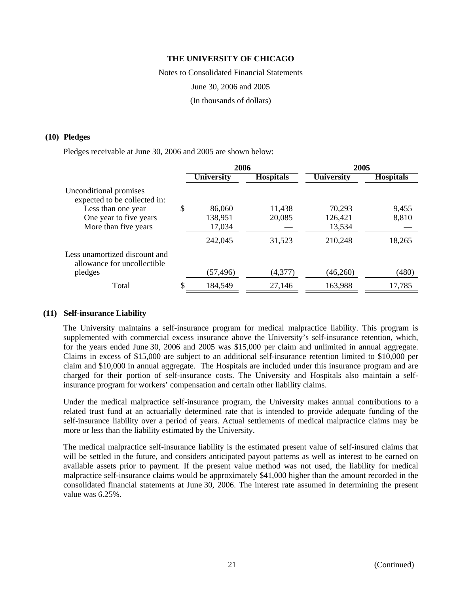Notes to Consolidated Financial Statements

June 30, 2006 and 2005

(In thousands of dollars)

#### **(10) Pledges**

Pledges receivable at June 30, 2006 and 2005 are shown below:

|                                                              | 2006              |                  | 2005              |                  |
|--------------------------------------------------------------|-------------------|------------------|-------------------|------------------|
|                                                              | <b>University</b> | <b>Hospitals</b> | <b>University</b> | <b>Hospitals</b> |
| Unconditional promises<br>expected to be collected in:       |                   |                  |                   |                  |
| Less than one year                                           | \$<br>86,060      | 11,438           | 70,293            | 9,455            |
| One year to five years                                       | 138,951           | 20,085           | 126,421           | 8,810            |
| More than five years                                         | 17,034            |                  | 13,534            |                  |
|                                                              | 242,045           | 31,523           | 210,248           | 18,265           |
| Less unamortized discount and<br>allowance for uncollectible |                   |                  |                   |                  |
| pledges                                                      | (57, 496)         | (4,377)          | (46,260)          | (480)            |
| Total                                                        | 184,549           | 27,146           | 163,988           | 17,785           |

#### **(11) Self-insurance Liability**

The University maintains a self-insurance program for medical malpractice liability. This program is supplemented with commercial excess insurance above the University's self-insurance retention, which, for the years ended June 30, 2006 and 2005 was \$15,000 per claim and unlimited in annual aggregate. Claims in excess of \$15,000 are subject to an additional self-insurance retention limited to \$10,000 per claim and \$10,000 in annual aggregate. The Hospitals are included under this insurance program and are charged for their portion of self-insurance costs. The University and Hospitals also maintain a selfinsurance program for workers' compensation and certain other liability claims.

Under the medical malpractice self-insurance program, the University makes annual contributions to a related trust fund at an actuarially determined rate that is intended to provide adequate funding of the self-insurance liability over a period of years. Actual settlements of medical malpractice claims may be more or less than the liability estimated by the University.

The medical malpractice self-insurance liability is the estimated present value of self-insured claims that will be settled in the future, and considers anticipated payout patterns as well as interest to be earned on available assets prior to payment. If the present value method was not used, the liability for medical malpractice self-insurance claims would be approximately \$41,000 higher than the amount recorded in the consolidated financial statements at June 30, 2006. The interest rate assumed in determining the present value was 6.25%.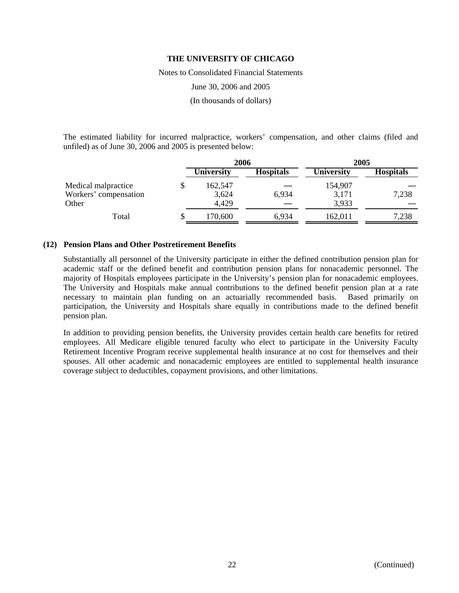Notes to Consolidated Financial Statements

June 30, 2006 and 2005

(In thousands of dollars)

The estimated liability for incurred malpractice, workers' compensation, and other claims (filed and unfiled) as of June 30, 2006 and 2005 is presented below:

|                                                       | 2006                      |                  | 2005                      |                  |
|-------------------------------------------------------|---------------------------|------------------|---------------------------|------------------|
|                                                       | <b>University</b>         | <b>Hospitals</b> | University                | <b>Hospitals</b> |
| Medical malpractice<br>Workers' compensation<br>Other | 162,547<br>3,624<br>4,429 | 6,934            | 154,907<br>3,171<br>3,933 | 7,238            |
| Total                                                 | 170,600                   | 6,934            | 162,011                   | 7,238            |

## **(12) Pension Plans and Other Postretirement Benefits**

Substantially all personnel of the University participate in either the defined contribution pension plan for academic staff or the defined benefit and contribution pension plans for nonacademic personnel. The majority of Hospitals employees participate in the University's pension plan for nonacademic employees. The University and Hospitals make annual contributions to the defined benefit pension plan at a rate necessary to maintain plan funding on an actuarially recommended basis. Based primarily on participation, the University and Hospitals share equally in contributions made to the defined benefit pension plan.

In addition to providing pension benefits, the University provides certain health care benefits for retired employees. All Medicare eligible tenured faculty who elect to participate in the University Faculty Retirement Incentive Program receive supplemental health insurance at no cost for themselves and their spouses. All other academic and nonacademic employees are entitled to supplemental health insurance coverage subject to deductibles, copayment provisions, and other limitations.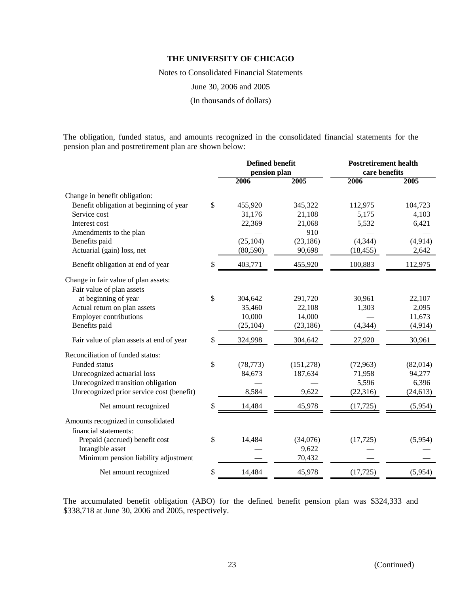Notes to Consolidated Financial Statements

June 30, 2006 and 2005

(In thousands of dollars)

The obligation, funded status, and amounts recognized in the consolidated financial statements for the pension plan and postretirement plan are shown below:

|                                           | <b>Defined benefit</b><br>pension plan |            | <b>Postretirement health</b><br>care benefits |           |
|-------------------------------------------|----------------------------------------|------------|-----------------------------------------------|-----------|
|                                           | 2006                                   | 2005       | 2006                                          | 2005      |
| Change in benefit obligation:             |                                        |            |                                               |           |
| Benefit obligation at beginning of year   | \$<br>455,920                          | 345,322    | 112,975                                       | 104,723   |
| Service cost                              | 31,176                                 | 21,108     | 5,175                                         | 4,103     |
| Interest cost                             | 22,369                                 | 21,068     | 5,532                                         | 6,421     |
| Amendments to the plan                    |                                        | 910        |                                               |           |
| Benefits paid                             | (25, 104)                              | (23, 186)  | (4, 344)                                      | (4,914)   |
| Actuarial (gain) loss, net                | (80, 590)                              | 90,698     | (18, 455)                                     | 2,642     |
| Benefit obligation at end of year         | \$<br>403,771                          | 455,920    | 100,883                                       | 112,975   |
| Change in fair value of plan assets:      |                                        |            |                                               |           |
| Fair value of plan assets                 |                                        |            |                                               |           |
| at beginning of year                      | \$<br>304,642                          | 291,720    | 30,961                                        | 22,107    |
| Actual return on plan assets              | 35,460                                 | 22,108     | 1,303                                         | 2,095     |
| <b>Employer contributions</b>             | 10,000                                 | 14,000     |                                               | 11,673    |
| Benefits paid                             | (25, 104)                              | (23, 186)  | (4, 344)                                      | (4,914)   |
| Fair value of plan assets at end of year  | \$<br>324,998                          | 304,642    | 27,920                                        | 30,961    |
| Reconciliation of funded status:          |                                        |            |                                               |           |
| Funded status                             | \$<br>(78, 773)                        | (151, 278) | (72, 963)                                     | (82,014)  |
| Unrecognized actuarial loss               | 84,673                                 | 187,634    | 71,958                                        | 94,277    |
| Unrecognized transition obligation        |                                        |            | 5,596                                         | 6,396     |
| Unrecognized prior service cost (benefit) | 8,584                                  | 9,622      | (22, 316)                                     | (24, 613) |
| Net amount recognized                     | \$<br>14,484                           | 45,978     | (17, 725)                                     | (5,954)   |
| Amounts recognized in consolidated        |                                        |            |                                               |           |
| financial statements:                     |                                        |            |                                               |           |
| Prepaid (accrued) benefit cost            | \$<br>14,484                           | (34,076)   | (17, 725)                                     | (5,954)   |
| Intangible asset                          |                                        | 9,622      |                                               |           |
| Minimum pension liability adjustment      |                                        | 70,432     |                                               |           |
| Net amount recognized                     | \$<br>14,484                           | 45,978     | (17, 725)                                     | (5,954)   |

The accumulated benefit obligation (ABO) for the defined benefit pension plan was \$324,333 and \$338,718 at June 30, 2006 and 2005, respectively.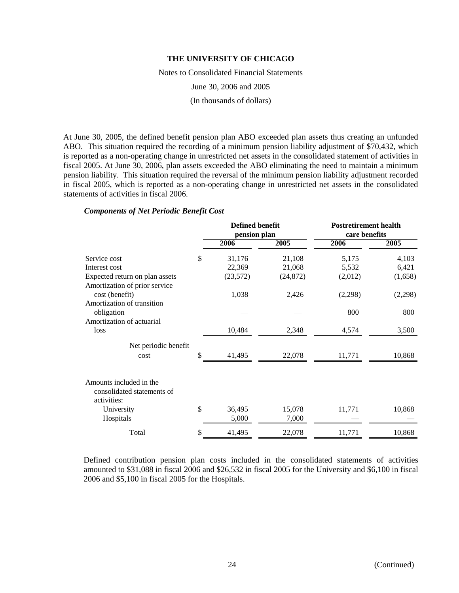Notes to Consolidated Financial Statements

June 30, 2006 and 2005

(In thousands of dollars)

At June 30, 2005, the defined benefit pension plan ABO exceeded plan assets thus creating an unfunded ABO. This situation required the recording of a minimum pension liability adjustment of \$70,432, which is reported as a non-operating change in unrestricted net assets in the consolidated statement of activities in fiscal 2005. At June 30, 2006, plan assets exceeded the ABO eliminating the need to maintain a minimum pension liability. This situation required the reversal of the minimum pension liability adjustment recorded in fiscal 2005, which is reported as a non-operating change in unrestricted net assets in the consolidated statements of activities in fiscal 2006.

|                                                       | <b>Defined benefit</b><br>pension plan |           | <b>Postretirement health</b><br>care benefits |         |
|-------------------------------------------------------|----------------------------------------|-----------|-----------------------------------------------|---------|
|                                                       | 2006                                   | 2005      | 2006                                          | 2005    |
| Service cost                                          | \$<br>31,176                           | 21,108    | 5,175                                         | 4,103   |
| Interest cost                                         | 22,369                                 | 21,068    | 5,532                                         | 6,421   |
| Expected return on plan assets                        | (23,572)                               | (24, 872) | (2,012)                                       | (1,658) |
| Amortization of prior service                         |                                        |           |                                               |         |
| cost (benefit)                                        | 1,038                                  | 2,426     | (2,298)                                       | (2,298) |
| Amortization of transition<br>obligation              |                                        |           | 800                                           | 800     |
| Amortization of actuarial                             |                                        |           |                                               |         |
| loss                                                  | 10,484                                 | 2,348     | 4,574                                         | 3,500   |
| Net periodic benefit                                  |                                        |           |                                               |         |
| cost                                                  | \$<br>41,495                           | 22,078    | 11,771                                        | 10,868  |
| Amounts included in the<br>consolidated statements of |                                        |           |                                               |         |
| activities:                                           |                                        |           |                                               |         |
| University                                            | \$<br>36,495                           | 15,078    | 11,771                                        | 10,868  |
| Hospitals                                             | 5,000                                  | 7,000     |                                               |         |
| Total                                                 | \$<br>41,495                           | 22,078    | 11,771                                        | 10,868  |

## *Components of Net Periodic Benefit Cost*

Defined contribution pension plan costs included in the consolidated statements of activities amounted to \$31,088 in fiscal 2006 and \$26,532 in fiscal 2005 for the University and \$6,100 in fiscal 2006 and \$5,100 in fiscal 2005 for the Hospitals.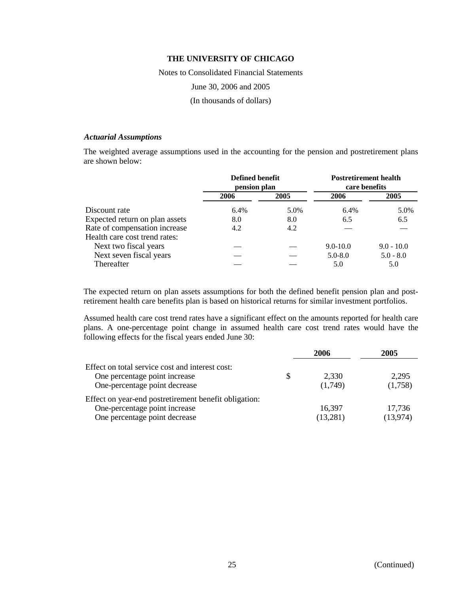Notes to Consolidated Financial Statements

June 30, 2006 and 2005

(In thousands of dollars)

#### *Actuarial Assumptions*

The weighted average assumptions used in the accounting for the pension and postretirement plans are shown below:

|                                | Defined benefit<br>pension plan |      | <b>Postretirement health</b><br>care benefits |              |
|--------------------------------|---------------------------------|------|-----------------------------------------------|--------------|
|                                | 2006                            | 2005 | 2006                                          | 2005         |
| Discount rate                  | 6.4%                            | 5.0% | 6.4%                                          | 5.0%         |
| Expected return on plan assets | 8.0                             | 8.0  | 6.5                                           | 6.5          |
| Rate of compensation increase  | 4.2                             | 4.2  |                                               |              |
| Health care cost trend rates:  |                                 |      |                                               |              |
| Next two fiscal years          |                                 |      | $9.0 - 10.0$                                  | $9.0 - 10.0$ |
| Next seven fiscal years        |                                 |      | $5.0 - 8.0$                                   | $5.0 - 8.0$  |
| Thereafter                     |                                 |      | 5.0                                           | 5.0          |

The expected return on plan assets assumptions for both the defined benefit pension plan and postretirement health care benefits plan is based on historical returns for similar investment portfolios.

Assumed health care cost trend rates have a significant effect on the amounts reported for health care plans. A one-percentage point change in assumed health care cost trend rates would have the following effects for the fiscal years ended June 30:

|                                                                                                                         |   | 2006               | 2005               |
|-------------------------------------------------------------------------------------------------------------------------|---|--------------------|--------------------|
| Effect on total service cost and interest cost:<br>One percentage point increase<br>One-percentage point decrease       | S | 2.330<br>(1,749)   | 2,295<br>(1,758)   |
| Effect on year-end postretirement benefit obligation:<br>One-percentage point increase<br>One percentage point decrease |   | 16,397<br>(13,281) | 17,736<br>(13,974) |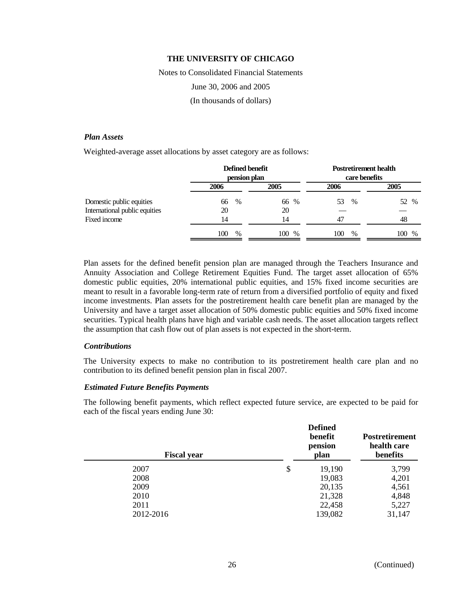Notes to Consolidated Financial Statements

June 30, 2006 and 2005

(In thousands of dollars)

#### *Plan Assets*

Weighted-average asset allocations by asset category are as follows:

|                               | Defined benefit<br>pension plan |             | <b>Postretirement health</b><br>care benefits |             |  |
|-------------------------------|---------------------------------|-------------|-----------------------------------------------|-------------|--|
|                               | 2006                            | 2005        | 2006                                          | 2005        |  |
| Domestic public equities      | $\%$<br>66                      | 66 %        | $\%$<br>53.                                   | 52<br>$\%$  |  |
| International public equities | 20                              | 20          |                                               |             |  |
| Fixed income                  | 14                              | 14          | 47                                            | 48          |  |
|                               | 100<br>$\%$                     | 100<br>$\%$ | 100<br>$\%$                                   | 100<br>$\%$ |  |

Plan assets for the defined benefit pension plan are managed through the Teachers Insurance and Annuity Association and College Retirement Equities Fund. The target asset allocation of 65% domestic public equities, 20% international public equities, and 15% fixed income securities are meant to result in a favorable long-term rate of return from a diversified portfolio of equity and fixed income investments. Plan assets for the postretirement health care benefit plan are managed by the University and have a target asset allocation of 50% domestic public equities and 50% fixed income securities. Typical health plans have high and variable cash needs. The asset allocation targets reflect the assumption that cash flow out of plan assets is not expected in the short-term.

#### *Contributions*

The University expects to make no contribution to its postretirement health care plan and no contribution to its defined benefit pension plan in fiscal 2007.

#### *Estimated Future Benefits Payments*

The following benefit payments, which reflect expected future service, are expected to be paid for each of the fiscal years ending June 30:

| <b>Fiscal year</b> | <b>Defined</b><br>benefit<br>pension<br>plan | <b>Postretirement</b><br>health care<br>benefits |
|--------------------|----------------------------------------------|--------------------------------------------------|
| 2007               | \$<br>19,190                                 | 3,799                                            |
| 2008               | 19,083                                       | 4,201                                            |
| 2009               | 20,135                                       | 4,561                                            |
| 2010               | 21,328                                       | 4,848                                            |
| 2011               | 22,458                                       | 5,227                                            |
| 2012-2016          | 139,082                                      | 31,147                                           |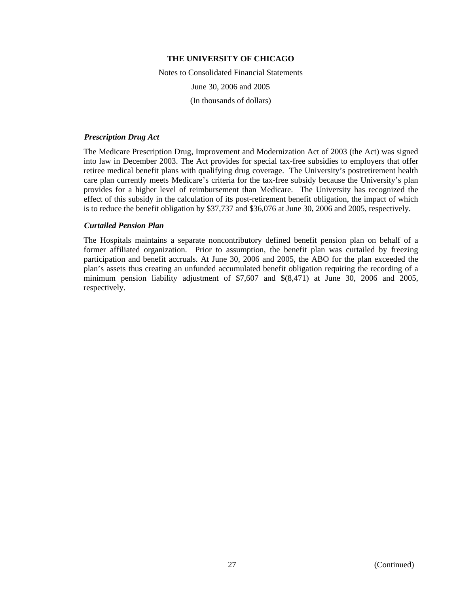Notes to Consolidated Financial Statements June 30, 2006 and 2005 (In thousands of dollars)

#### *Prescription Drug Act*

The Medicare Prescription Drug, Improvement and Modernization Act of 2003 (the Act) was signed into law in December 2003. The Act provides for special tax-free subsidies to employers that offer retiree medical benefit plans with qualifying drug coverage. The University's postretirement health care plan currently meets Medicare's criteria for the tax-free subsidy because the University's plan provides for a higher level of reimbursement than Medicare. The University has recognized the effect of this subsidy in the calculation of its post-retirement benefit obligation, the impact of which is to reduce the benefit obligation by \$37,737 and \$36,076 at June 30, 2006 and 2005, respectively.

#### *Curtailed Pension Plan*

The Hospitals maintains a separate noncontributory defined benefit pension plan on behalf of a former affiliated organization. Prior to assumption, the benefit plan was curtailed by freezing participation and benefit accruals. At June 30, 2006 and 2005, the ABO for the plan exceeded the plan's assets thus creating an unfunded accumulated benefit obligation requiring the recording of a minimum pension liability adjustment of \$7,607 and \$(8,471) at June 30, 2006 and 2005, respectively.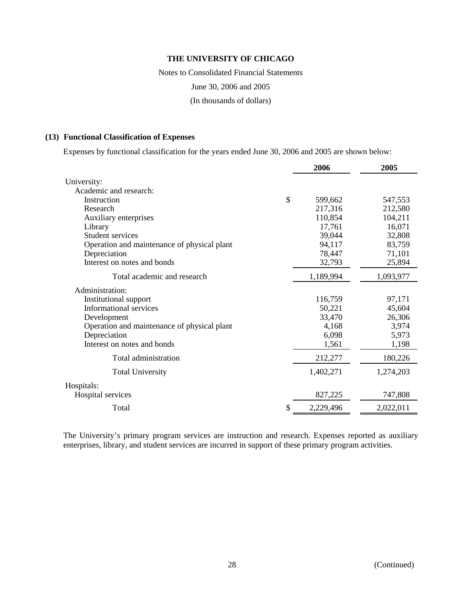Notes to Consolidated Financial Statements

June 30, 2006 and 2005

(In thousands of dollars)

## **(13) Functional Classification of Expenses**

Expenses by functional classification for the years ended June 30, 2006 and 2005 are shown below:

|                                             | 2006      | 2005      |
|---------------------------------------------|-----------|-----------|
| University:                                 |           |           |
| Academic and research:                      |           |           |
| $\mathbb{S}$<br>Instruction                 | 599,662   | 547,553   |
| Research                                    | 217,316   | 212,580   |
| Auxiliary enterprises                       | 110,854   | 104,211   |
| Library                                     | 17,761    | 16,071    |
| Student services                            | 39,044    | 32,808    |
| Operation and maintenance of physical plant | 94,117    | 83,759    |
| Depreciation                                | 78,447    | 71,101    |
| Interest on notes and bonds                 | 32,793    | 25,894    |
| Total academic and research                 | 1,189,994 | 1,093,977 |
| Administration:                             |           |           |
| Institutional support                       | 116,759   | 97,171    |
| Informational services                      | 50,221    | 45,604    |
| Development                                 | 33,470    | 26,306    |
| Operation and maintenance of physical plant | 4,168     | 3,974     |
| Depreciation                                | 6,098     | 5,973     |
| Interest on notes and bonds                 | 1,561     | 1,198     |
| Total administration                        | 212,277   | 180,226   |
| <b>Total University</b>                     | 1,402,271 | 1,274,203 |
| Hospitals:                                  |           |           |
| Hospital services                           | 827,225   | 747,808   |
| \$<br>Total                                 | 2,229,496 | 2,022,011 |

The University's primary program services are instruction and research. Expenses reported as auxiliary enterprises, library, and student services are incurred in support of these primary program activities.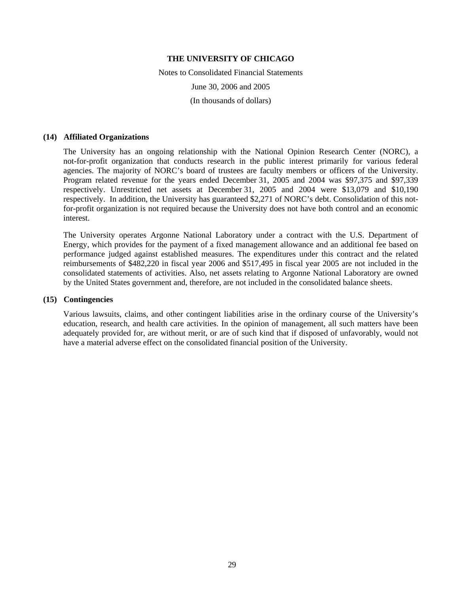Notes to Consolidated Financial Statements June 30, 2006 and 2005 (In thousands of dollars)

#### **(14) Affiliated Organizations**

The University has an ongoing relationship with the National Opinion Research Center (NORC), a not-for-profit organization that conducts research in the public interest primarily for various federal agencies. The majority of NORC's board of trustees are faculty members or officers of the University. Program related revenue for the years ended December 31, 2005 and 2004 was \$97,375 and \$97,339 respectively. Unrestricted net assets at December 31, 2005 and 2004 were \$13,079 and \$10,190 respectively. In addition, the University has guaranteed \$2,271 of NORC's debt. Consolidation of this notfor-profit organization is not required because the University does not have both control and an economic interest.

The University operates Argonne National Laboratory under a contract with the U.S. Department of Energy, which provides for the payment of a fixed management allowance and an additional fee based on performance judged against established measures. The expenditures under this contract and the related reimbursements of \$482,220 in fiscal year 2006 and \$517,495 in fiscal year 2005 are not included in the consolidated statements of activities. Also, net assets relating to Argonne National Laboratory are owned by the United States government and, therefore, are not included in the consolidated balance sheets.

#### **(15) Contingencies**

Various lawsuits, claims, and other contingent liabilities arise in the ordinary course of the University's education, research, and health care activities. In the opinion of management, all such matters have been adequately provided for, are without merit, or are of such kind that if disposed of unfavorably, would not have a material adverse effect on the consolidated financial position of the University.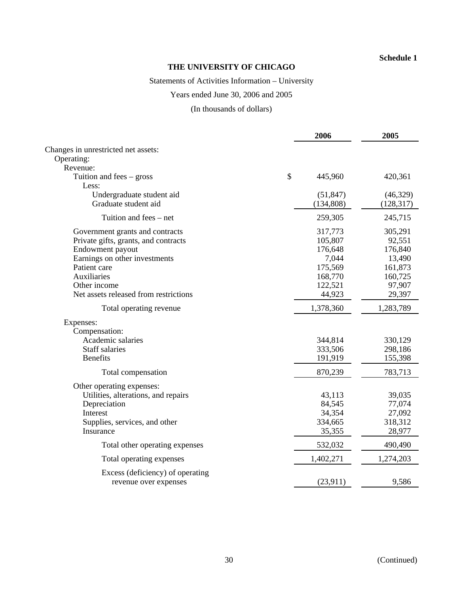## **Schedule 1**

# **THE UNIVERSITY OF CHICAGO**

# Statements of Activities Information – University

# Years ended June 30, 2006 and 2005

# (In thousands of dollars)

|                                       | 2006          | 2005       |
|---------------------------------------|---------------|------------|
| Changes in unrestricted net assets:   |               |            |
| Operating:                            |               |            |
| Revenue:                              |               |            |
| Tuition and fees $-$ gross            | \$<br>445,960 | 420,361    |
| Less:                                 |               |            |
| Undergraduate student aid             | (51, 847)     | (46,329)   |
| Graduate student aid                  | (134, 808)    | (128, 317) |
| Tuition and fees – net                | 259,305       | 245,715    |
| Government grants and contracts       | 317,773       | 305,291    |
| Private gifts, grants, and contracts  | 105,807       | 92,551     |
| Endowment payout                      | 176,648       | 176,840    |
| Earnings on other investments         | 7,044         | 13,490     |
| Patient care                          | 175,569       | 161,873    |
| Auxiliaries                           | 168,770       | 160,725    |
| Other income                          | 122,521       | 97,907     |
| Net assets released from restrictions | 44,923        | 29,397     |
| Total operating revenue               | 1,378,360     | 1,283,789  |
| Expenses:                             |               |            |
| Compensation:                         |               |            |
| Academic salaries                     | 344,814       | 330,129    |
| <b>Staff salaries</b>                 | 333,506       | 298,186    |
| <b>Benefits</b>                       | 191,919       | 155,398    |
| Total compensation                    | 870,239       | 783,713    |
| Other operating expenses:             |               |            |
| Utilities, alterations, and repairs   | 43,113        | 39,035     |
| Depreciation                          | 84,545        | 77,074     |
| Interest                              | 34,354        | 27,092     |
| Supplies, services, and other         | 334,665       | 318,312    |
| Insurance                             | 35,355        | 28,977     |
| Total other operating expenses        | 532,032       | 490,490    |
| Total operating expenses              | 1,402,271     | 1,274,203  |
| Excess (deficiency) of operating      |               |            |
| revenue over expenses                 | (23,911)      | 9,586      |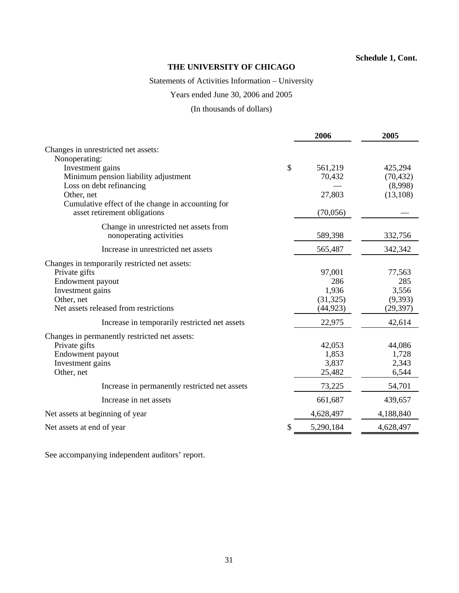## **Schedule 1, Cont.**

# **THE UNIVERSITY OF CHICAGO**

# Statements of Activities Information – University

# Years ended June 30, 2006 and 2005

# (In thousands of dollars)

|                                                   | 2006      | 2005      |
|---------------------------------------------------|-----------|-----------|
| Changes in unrestricted net assets:               |           |           |
| Nonoperating:                                     |           |           |
| $\mathbb{S}$<br>Investment gains                  | 561,219   | 425,294   |
| Minimum pension liability adjustment              | 70,432    | (70, 432) |
| Loss on debt refinancing                          |           | (8,998)   |
| Other, net                                        | 27,803    | (13, 108) |
| Cumulative effect of the change in accounting for |           |           |
| asset retirement obligations                      | (70,056)  |           |
| Change in unrestricted net assets from            |           |           |
| nonoperating activities                           | 589,398   | 332,756   |
| Increase in unrestricted net assets               | 565,487   | 342,342   |
| Changes in temporarily restricted net assets:     |           |           |
| Private gifts                                     | 97,001    | 77,563    |
| Endowment payout                                  | 286       | 285       |
| Investment gains                                  | 1,936     | 3,556     |
| Other, net                                        | (31, 325) | (9,393)   |
| Net assets released from restrictions             | (44, 923) | (29, 397) |
| Increase in temporarily restricted net assets     | 22,975    | 42,614    |
| Changes in permanently restricted net assets:     |           |           |
| Private gifts                                     | 42,053    | 44,086    |
| Endowment payout                                  | 1,853     | 1,728     |
| Investment gains                                  | 3,837     | 2,343     |
| Other, net                                        | 25,482    | 6,544     |
| Increase in permanently restricted net assets     | 73,225    | 54,701    |
| Increase in net assets                            | 661,687   | 439,657   |
| Net assets at beginning of year                   | 4,628,497 | 4,188,840 |
| Net assets at end of year                         | 5,290,184 | 4,628,497 |

See accompanying independent auditors' report.